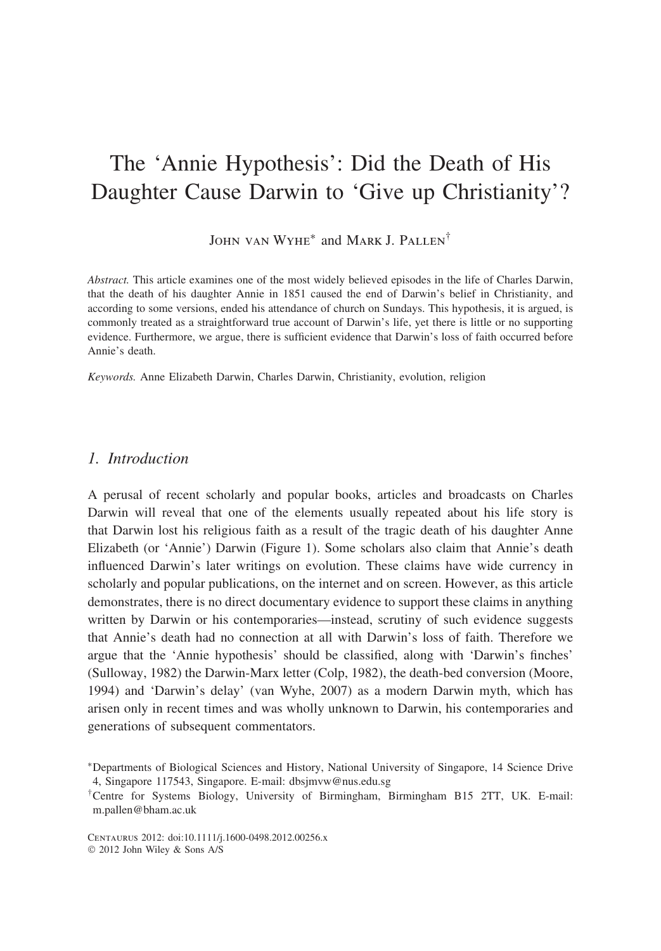# The 'Annie Hypothesis': Did the Death of His Daughter Cause Darwin to 'Give up Christianity'?

JOHN VAN WYHE<sup>\*</sup> and MARK J. PALLEN<sup>†</sup>

*Abstract.* This article examines one of the most widely believed episodes in the life of Charles Darwin, that the death of his daughter Annie in 1851 caused the end of Darwin's belief in Christianity, and according to some versions, ended his attendance of church on Sundays. This hypothesis, it is argued, is commonly treated as a straightforward true account of Darwin's life, yet there is little or no supporting evidence. Furthermore, we argue, there is sufficient evidence that Darwin's loss of faith occurred before Annie's death.

*Keywords.* Anne Elizabeth Darwin, Charles Darwin, Christianity, evolution, religion

# *1. Introduction*

A perusal of recent scholarly and popular books, articles and broadcasts on Charles Darwin will reveal that one of the elements usually repeated about his life story is that Darwin lost his religious faith as a result of the tragic death of his daughter Anne Elizabeth (or 'Annie') Darwin (Figure 1). Some scholars also claim that Annie's death influenced Darwin's later writings on evolution. These claims have wide currency in scholarly and popular publications, on the internet and on screen. However, as this article demonstrates, there is no direct documentary evidence to support these claims in anything written by Darwin or his contemporaries—instead, scrutiny of such evidence suggests that Annie's death had no connection at all with Darwin's loss of faith. Therefore we argue that the 'Annie hypothesis' should be classified, along with 'Darwin's finches' (Sulloway, 1982) the Darwin-Marx letter (Colp, 1982), the death-bed conversion (Moore, 1994) and 'Darwin's delay' (van Wyhe, 2007) as a modern Darwin myth, which has arisen only in recent times and was wholly unknown to Darwin, his contemporaries and generations of subsequent commentators.

Centaurus 2012: doi:10.1111/j.1600-0498.2012.00256.x © 2012 John Wiley & Sons A/S

<sup>Ł</sup>Departments of Biological Sciences and History, National University of Singapore, 14 Science Drive 4, Singapore 117543, Singapore. E-mail: dbsjmvw@nus.edu.sg

<sup>†</sup>Centre for Systems Biology, University of Birmingham, Birmingham B15 2TT, UK. E-mail: m.pallen@bham.ac.uk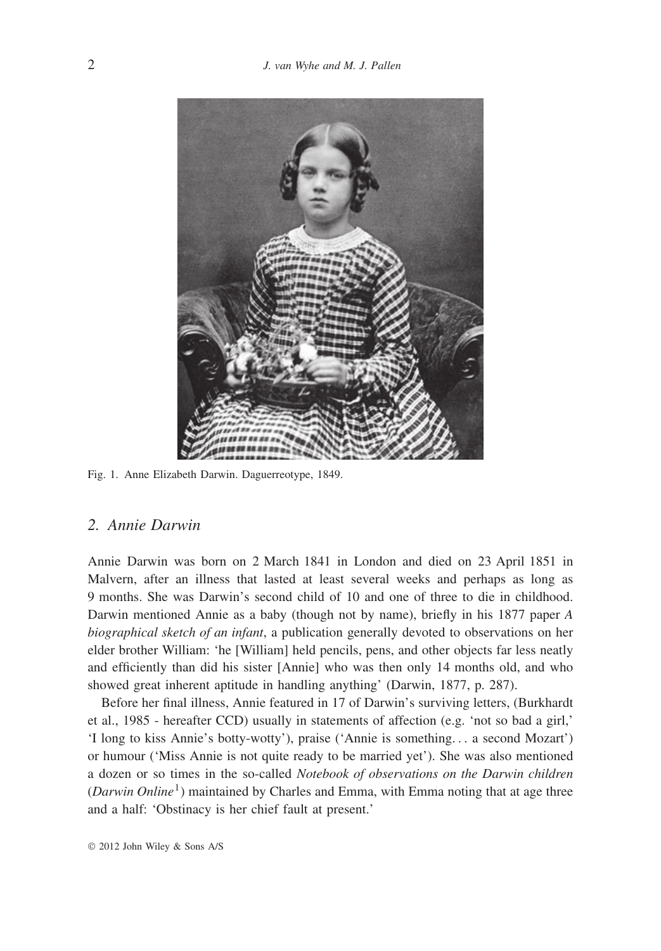

Fig. 1. Anne Elizabeth Darwin. Daguerreotype, 1849.

# *2. Annie Darwin*

Annie Darwin was born on 2 March 1841 in London and died on 23 April 1851 in Malvern, after an illness that lasted at least several weeks and perhaps as long as 9 months. She was Darwin's second child of 10 and one of three to die in childhood. Darwin mentioned Annie as a baby (though not by name), briefly in his 1877 paper *A biographical sketch of an infant*, a publication generally devoted to observations on her elder brother William: 'he [William] held pencils, pens, and other objects far less neatly and efficiently than did his sister [Annie] who was then only 14 months old, and who showed great inherent aptitude in handling anything' (Darwin, 1877, p. 287).

Before her final illness, Annie featured in 17 of Darwin's surviving letters, (Burkhardt et al., 1985 - hereafter CCD) usually in statements of affection (e.g. 'not so bad a girl,' 'I long to kiss Annie's botty-wotty'), praise ('Annie is something... a second Mozart') or humour ('Miss Annie is not quite ready to be married yet'). She was also mentioned a dozen or so times in the so-called *Notebook of observations on the Darwin children* (*Darwin Online*1) maintained by Charles and Emma, with Emma noting that at age three and a half: 'Obstinacy is her chief fault at present.'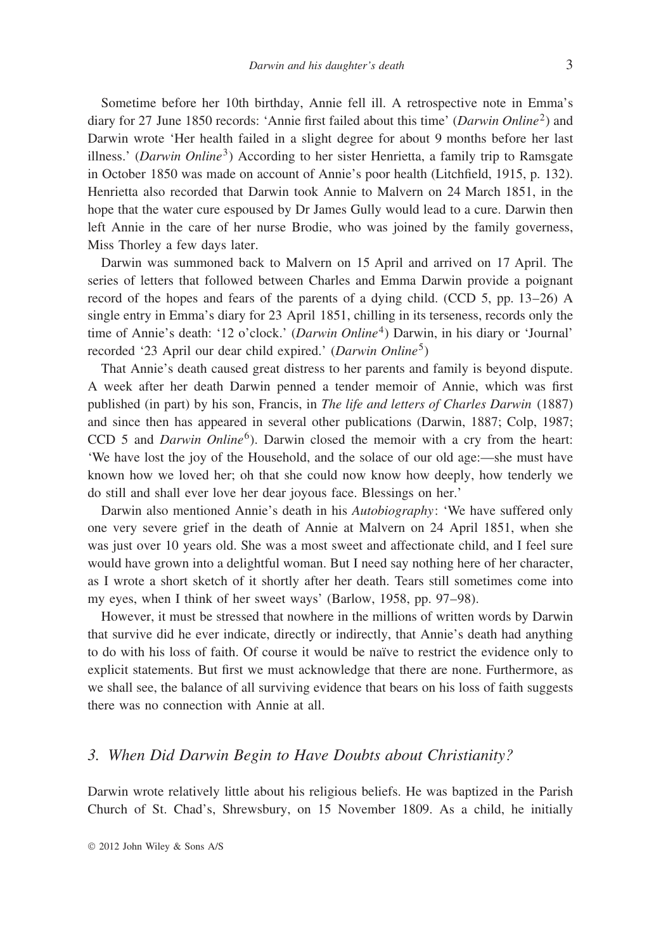Sometime before her 10th birthday, Annie fell ill. A retrospective note in Emma's diary for 27 June 1850 records: 'Annie first failed about this time' (*Darwin Online*2) and Darwin wrote 'Her health failed in a slight degree for about 9 months before her last illness.' (*Darwin Online*3) According to her sister Henrietta, a family trip to Ramsgate in October 1850 was made on account of Annie's poor health (Litchfield, 1915, p. 132). Henrietta also recorded that Darwin took Annie to Malvern on 24 March 1851, in the hope that the water cure espoused by Dr James Gully would lead to a cure. Darwin then left Annie in the care of her nurse Brodie, who was joined by the family governess, Miss Thorley a few days later.

Darwin was summoned back to Malvern on 15 April and arrived on 17 April. The series of letters that followed between Charles and Emma Darwin provide a poignant record of the hopes and fears of the parents of a dying child. (CCD 5, pp. 13–26) A single entry in Emma's diary for 23 April 1851, chilling in its terseness, records only the time of Annie's death: '12 o'clock.' (*Darwin Online*4) Darwin, in his diary or 'Journal' recorded '23 April our dear child expired.' (*Darwin Online*5)

That Annie's death caused great distress to her parents and family is beyond dispute. A week after her death Darwin penned a tender memoir of Annie, which was first published (in part) by his son, Francis, in *The life and letters of Charles Darwin* (1887) and since then has appeared in several other publications (Darwin, 1887; Colp, 1987; CCD 5 and *Darwin Online*<sup>6</sup>). Darwin closed the memoir with a cry from the heart: 'We have lost the joy of the Household, and the solace of our old age:—she must have known how we loved her; oh that she could now know how deeply, how tenderly we do still and shall ever love her dear joyous face. Blessings on her.'

Darwin also mentioned Annie's death in his *Autobiography*: 'We have suffered only one very severe grief in the death of Annie at Malvern on 24 April 1851, when she was just over 10 years old. She was a most sweet and affectionate child, and I feel sure would have grown into a delightful woman. But I need say nothing here of her character, as I wrote a short sketch of it shortly after her death. Tears still sometimes come into my eyes, when I think of her sweet ways' (Barlow, 1958, pp. 97–98).

However, it must be stressed that nowhere in the millions of written words by Darwin that survive did he ever indicate, directly or indirectly, that Annie's death had anything to do with his loss of faith. Of course it would be naïve to restrict the evidence only to explicit statements. But first we must acknowledge that there are none. Furthermore, as we shall see, the balance of all surviving evidence that bears on his loss of faith suggests there was no connection with Annie at all.

#### *3. When Did Darwin Begin to Have Doubts about Christianity?*

Darwin wrote relatively little about his religious beliefs. He was baptized in the Parish Church of St. Chad's, Shrewsbury, on 15 November 1809. As a child, he initially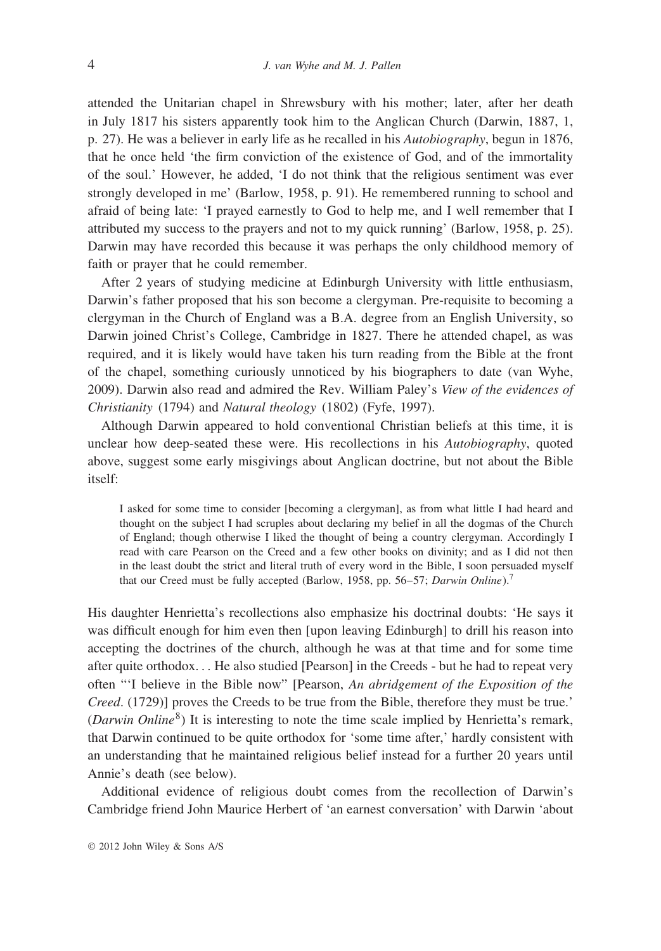attended the Unitarian chapel in Shrewsbury with his mother; later, after her death in July 1817 his sisters apparently took him to the Anglican Church (Darwin, 1887, 1, p. 27). He was a believer in early life as he recalled in his *Autobiography*, begun in 1876, that he once held 'the firm conviction of the existence of God, and of the immortality of the soul.' However, he added, 'I do not think that the religious sentiment was ever strongly developed in me' (Barlow, 1958, p. 91). He remembered running to school and afraid of being late: 'I prayed earnestly to God to help me, and I well remember that I attributed my success to the prayers and not to my quick running' (Barlow, 1958, p. 25). Darwin may have recorded this because it was perhaps the only childhood memory of faith or prayer that he could remember.

After 2 years of studying medicine at Edinburgh University with little enthusiasm, Darwin's father proposed that his son become a clergyman. Pre-requisite to becoming a clergyman in the Church of England was a B.A. degree from an English University, so Darwin joined Christ's College, Cambridge in 1827. There he attended chapel, as was required, and it is likely would have taken his turn reading from the Bible at the front of the chapel, something curiously unnoticed by his biographers to date (van Wyhe, 2009). Darwin also read and admired the Rev. William Paley's *View of the evidences of Christianity* (1794) and *Natural theology* (1802) (Fyfe, 1997).

Although Darwin appeared to hold conventional Christian beliefs at this time, it is unclear how deep-seated these were. His recollections in his *Autobiography*, quoted above, suggest some early misgivings about Anglican doctrine, but not about the Bible itself:

I asked for some time to consider [becoming a clergyman], as from what little I had heard and thought on the subject I had scruples about declaring my belief in all the dogmas of the Church of England; though otherwise I liked the thought of being a country clergyman. Accordingly I read with care Pearson on the Creed and a few other books on divinity; and as I did not then in the least doubt the strict and literal truth of every word in the Bible, I soon persuaded myself that our Creed must be fully accepted (Barlow, 1958, pp. 56–57; *Darwin Online*).<sup>7</sup>

His daughter Henrietta's recollections also emphasize his doctrinal doubts: 'He says it was difficult enough for him even then [upon leaving Edinburgh] to drill his reason into accepting the doctrines of the church, although he was at that time and for some time after quite orthodox::: He also studied [Pearson] in the Creeds - but he had to repeat very often "'I believe in the Bible now" [Pearson, *An abridgement of the Exposition of the Creed*. (1729)] proves the Creeds to be true from the Bible, therefore they must be true.' (*Darwin Online*8) It is interesting to note the time scale implied by Henrietta's remark, that Darwin continued to be quite orthodox for 'some time after,' hardly consistent with an understanding that he maintained religious belief instead for a further 20 years until Annie's death (see below).

Additional evidence of religious doubt comes from the recollection of Darwin's Cambridge friend John Maurice Herbert of 'an earnest conversation' with Darwin 'about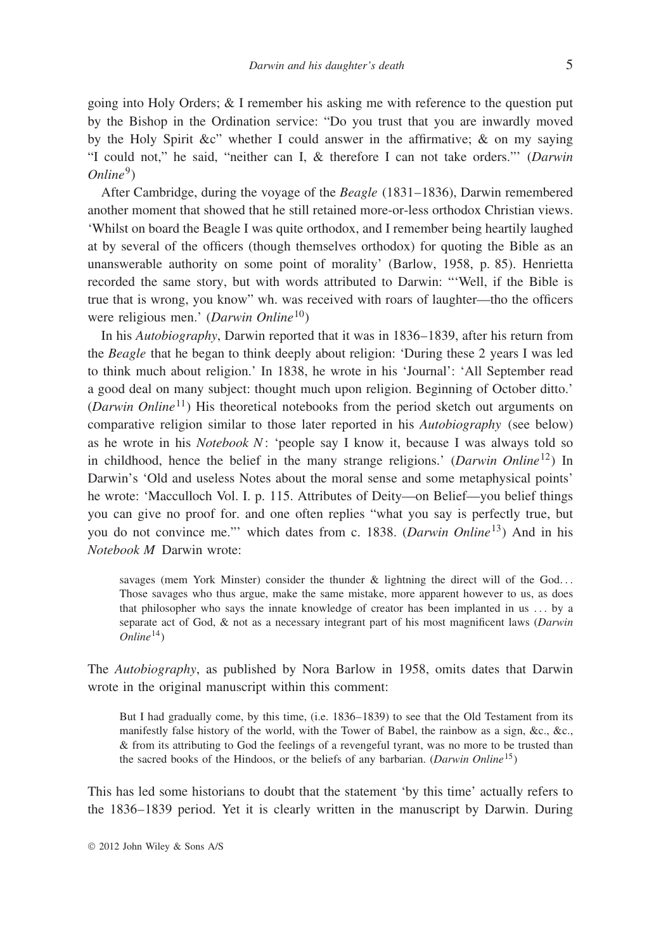going into Holy Orders; & I remember his asking me with reference to the question put

by the Bishop in the Ordination service: "Do you trust that you are inwardly moved by the Holy Spirit  $\&c$ " whether I could answer in the affirmative;  $\&$  on my saying "I could not," he said, "neither can I, & therefore I can not take orders."' (*Darwin Online*9)

After Cambridge, during the voyage of the *Beagle* (1831–1836), Darwin remembered another moment that showed that he still retained more-or-less orthodox Christian views. 'Whilst on board the Beagle I was quite orthodox, and I remember being heartily laughed at by several of the officers (though themselves orthodox) for quoting the Bible as an unanswerable authority on some point of morality' (Barlow, 1958, p. 85). Henrietta recorded the same story, but with words attributed to Darwin: "'Well, if the Bible is true that is wrong, you know" wh. was received with roars of laughter—tho the officers were religious men.' (*Darwin Online*<sup>10</sup>)

In his *Autobiography*, Darwin reported that it was in 1836–1839, after his return from the *Beagle* that he began to think deeply about religion: 'During these 2 years I was led to think much about religion.' In 1838, he wrote in his 'Journal': 'All September read a good deal on many subject: thought much upon religion. Beginning of October ditto.' (*Darwin Online*11) His theoretical notebooks from the period sketch out arguments on comparative religion similar to those later reported in his *Autobiography* (see below) as he wrote in his *Notebook N*: 'people say I know it, because I was always told so in childhood, hence the belief in the many strange religions.' (*Darwin Online*12) In Darwin's 'Old and useless Notes about the moral sense and some metaphysical points' he wrote: 'Macculloch Vol. I. p. 115. Attributes of Deity—on Belief—you belief things you can give no proof for. and one often replies "what you say is perfectly true, but you do not convince me."' which dates from c. 1838. (*Darwin Online*13) And in his *Notebook M* Darwin wrote:

savages (mem York Minster) consider the thunder  $\&$  lightning the direct will of the God... Those savages who thus argue, make the same mistake, more apparent however to us, as does that philosopher who says the innate knowledge of creator has been implanted in us ::: by a separate act of God, & not as a necessary integrant part of his most magnificent laws (*Darwin*  $Online<sup>14</sup>$ 

The *Autobiography*, as published by Nora Barlow in 1958, omits dates that Darwin wrote in the original manuscript within this comment:

But I had gradually come, by this time, (i.e. 1836–1839) to see that the Old Testament from its manifestly false history of the world, with the Tower of Babel, the rainbow as a sign, &c., &c., & from its attributing to God the feelings of a revengeful tyrant, was no more to be trusted than the sacred books of the Hindoos, or the beliefs of any barbarian. (*Darwin Online*15)

This has led some historians to doubt that the statement 'by this time' actually refers to the 1836–1839 period. Yet it is clearly written in the manuscript by Darwin. During

<sup>©</sup> 2012 John Wiley & Sons A/S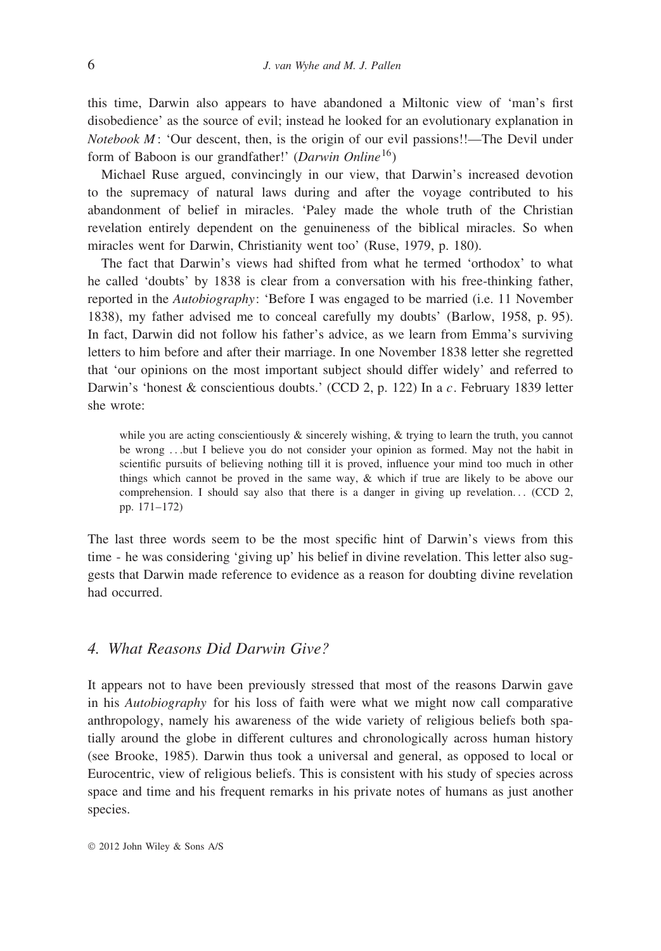this time, Darwin also appears to have abandoned a Miltonic view of 'man's first disobedience' as the source of evil; instead he looked for an evolutionary explanation in *Notebook M*: 'Our descent, then, is the origin of our evil passions!!—The Devil under form of Baboon is our grandfather!' (*Darwin Online*16)

Michael Ruse argued, convincingly in our view, that Darwin's increased devotion to the supremacy of natural laws during and after the voyage contributed to his abandonment of belief in miracles. 'Paley made the whole truth of the Christian revelation entirely dependent on the genuineness of the biblical miracles. So when miracles went for Darwin, Christianity went too' (Ruse, 1979, p. 180).

The fact that Darwin's views had shifted from what he termed 'orthodox' to what he called 'doubts' by 1838 is clear from a conversation with his free-thinking father, reported in the *Autobiography*: 'Before I was engaged to be married (i.e. 11 November 1838), my father advised me to conceal carefully my doubts' (Barlow, 1958, p. 95). In fact, Darwin did not follow his father's advice, as we learn from Emma's surviving letters to him before and after their marriage. In one November 1838 letter she regretted that 'our opinions on the most important subject should differ widely' and referred to Darwin's 'honest & conscientious doubts.' (CCD 2, p. 122) In a *c*: February 1839 letter she wrote:

while you are acting conscientiously  $\&$  sincerely wishing,  $\&$  trying to learn the truth, you cannot be wrong :::but I believe you do not consider your opinion as formed. May not the habit in scientific pursuits of believing nothing till it is proved, influence your mind too much in other things which cannot be proved in the same way, & which if true are likely to be above our comprehension. I should say also that there is a danger in giving up revelation::: (CCD 2, pp. 171–172)

The last three words seem to be the most specific hint of Darwin's views from this time - he was considering 'giving up' his belief in divine revelation. This letter also suggests that Darwin made reference to evidence as a reason for doubting divine revelation had occurred.

# *4. What Reasons Did Darwin Give?*

It appears not to have been previously stressed that most of the reasons Darwin gave in his *Autobiography* for his loss of faith were what we might now call comparative anthropology, namely his awareness of the wide variety of religious beliefs both spatially around the globe in different cultures and chronologically across human history (see Brooke, 1985). Darwin thus took a universal and general, as opposed to local or Eurocentric, view of religious beliefs. This is consistent with his study of species across space and time and his frequent remarks in his private notes of humans as just another species.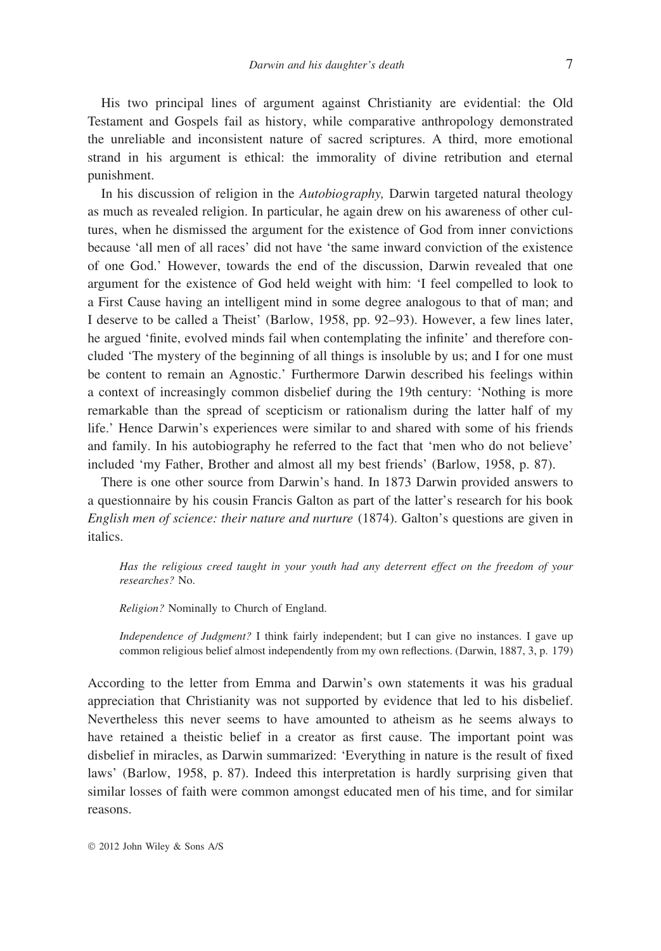His two principal lines of argument against Christianity are evidential: the Old Testament and Gospels fail as history, while comparative anthropology demonstrated the unreliable and inconsistent nature of sacred scriptures. A third, more emotional strand in his argument is ethical: the immorality of divine retribution and eternal punishment.

In his discussion of religion in the *Autobiography,* Darwin targeted natural theology as much as revealed religion. In particular, he again drew on his awareness of other cultures, when he dismissed the argument for the existence of God from inner convictions because 'all men of all races' did not have 'the same inward conviction of the existence of one God.' However, towards the end of the discussion, Darwin revealed that one argument for the existence of God held weight with him: 'I feel compelled to look to a First Cause having an intelligent mind in some degree analogous to that of man; and I deserve to be called a Theist' (Barlow, 1958, pp. 92–93). However, a few lines later, he argued 'finite, evolved minds fail when contemplating the infinite' and therefore concluded 'The mystery of the beginning of all things is insoluble by us; and I for one must be content to remain an Agnostic.' Furthermore Darwin described his feelings within a context of increasingly common disbelief during the 19th century: 'Nothing is more remarkable than the spread of scepticism or rationalism during the latter half of my life.' Hence Darwin's experiences were similar to and shared with some of his friends and family. In his autobiography he referred to the fact that 'men who do not believe' included 'my Father, Brother and almost all my best friends' (Barlow, 1958, p. 87).

There is one other source from Darwin's hand. In 1873 Darwin provided answers to a questionnaire by his cousin Francis Galton as part of the latter's research for his book *English men of science: their nature and nurture* (1874). Galton's questions are given in italics.

*Has the religious creed taught in your youth had any deterrent effect on the freedom of your researches?* No.

*Religion?* Nominally to Church of England.

*Independence of Judgment?* I think fairly independent; but I can give no instances. I gave up common religious belief almost independently from my own reflections. (Darwin, 1887, 3, p. 179)

According to the letter from Emma and Darwin's own statements it was his gradual appreciation that Christianity was not supported by evidence that led to his disbelief. Nevertheless this never seems to have amounted to atheism as he seems always to have retained a theistic belief in a creator as first cause. The important point was disbelief in miracles, as Darwin summarized: 'Everything in nature is the result of fixed laws' (Barlow, 1958, p. 87). Indeed this interpretation is hardly surprising given that similar losses of faith were common amongst educated men of his time, and for similar reasons.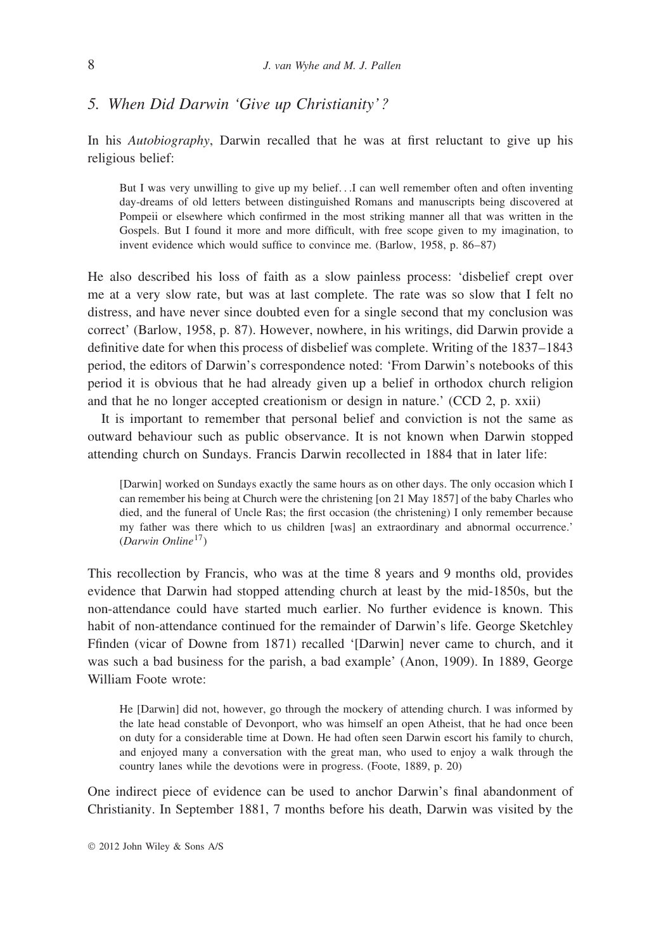*5. When Did Darwin 'Give up Christianity'?*

In his *Autobiography*, Darwin recalled that he was at first reluctant to give up his religious belief:

But I was very unwilling to give up my belief...I can well remember often and often inventing day-dreams of old letters between distinguished Romans and manuscripts being discovered at Pompeii or elsewhere which confirmed in the most striking manner all that was written in the Gospels. But I found it more and more difficult, with free scope given to my imagination, to invent evidence which would suffice to convince me. (Barlow, 1958, p. 86–87)

He also described his loss of faith as a slow painless process: 'disbelief crept over me at a very slow rate, but was at last complete. The rate was so slow that I felt no distress, and have never since doubted even for a single second that my conclusion was correct' (Barlow, 1958, p. 87). However, nowhere, in his writings, did Darwin provide a definitive date for when this process of disbelief was complete. Writing of the 1837–1843 period, the editors of Darwin's correspondence noted: 'From Darwin's notebooks of this period it is obvious that he had already given up a belief in orthodox church religion and that he no longer accepted creationism or design in nature.' (CCD 2, p. xxii)

It is important to remember that personal belief and conviction is not the same as outward behaviour such as public observance. It is not known when Darwin stopped attending church on Sundays. Francis Darwin recollected in 1884 that in later life:

[Darwin] worked on Sundays exactly the same hours as on other days. The only occasion which I can remember his being at Church were the christening [on 21 May 1857] of the baby Charles who died, and the funeral of Uncle Ras; the first occasion (the christening) I only remember because my father was there which to us children [was] an extraordinary and abnormal occurrence.' (*Darwin Online*17)

This recollection by Francis, who was at the time 8 years and 9 months old, provides evidence that Darwin had stopped attending church at least by the mid-1850s, but the non-attendance could have started much earlier. No further evidence is known. This habit of non-attendance continued for the remainder of Darwin's life. George Sketchley Ffinden (vicar of Downe from 1871) recalled '[Darwin] never came to church, and it was such a bad business for the parish, a bad example' (Anon, 1909). In 1889, George William Foote wrote:

He [Darwin] did not, however, go through the mockery of attending church. I was informed by the late head constable of Devonport, who was himself an open Atheist, that he had once been on duty for a considerable time at Down. He had often seen Darwin escort his family to church, and enjoyed many a conversation with the great man, who used to enjoy a walk through the country lanes while the devotions were in progress. (Foote, 1889, p. 20)

One indirect piece of evidence can be used to anchor Darwin's final abandonment of Christianity. In September 1881, 7 months before his death, Darwin was visited by the

<sup>©</sup> 2012 John Wiley & Sons A/S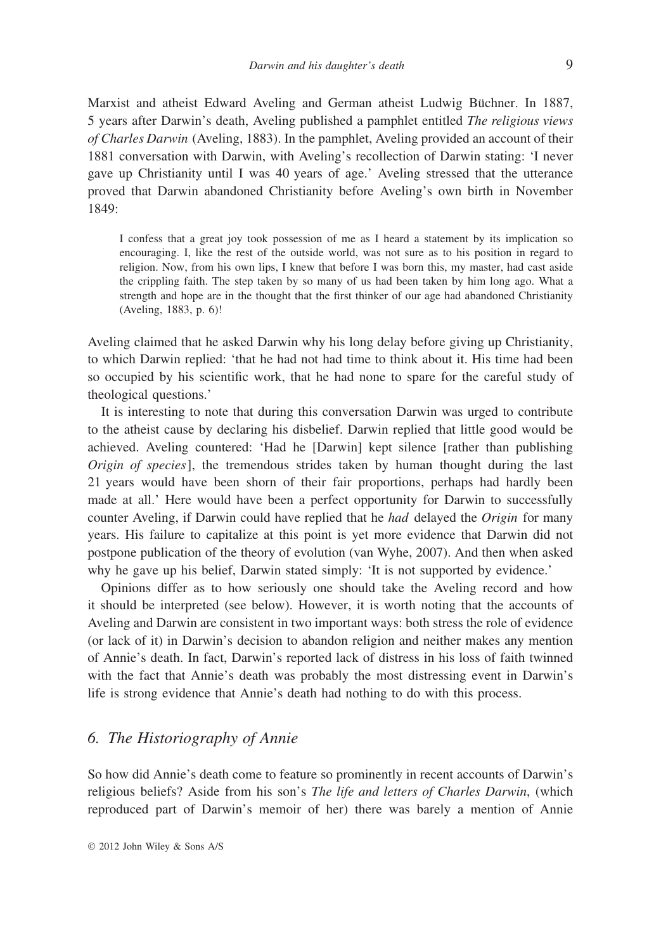Marxist and atheist Edward Aveling and German atheist Ludwig Büchner. In 1887, 5 years after Darwin's death, Aveling published a pamphlet entitled *The religious views of Charles Darwin* (Aveling, 1883). In the pamphlet, Aveling provided an account of their 1881 conversation with Darwin, with Aveling's recollection of Darwin stating: 'I never gave up Christianity until I was 40 years of age.' Aveling stressed that the utterance proved that Darwin abandoned Christianity before Aveling's own birth in November 1849:

I confess that a great joy took possession of me as I heard a statement by its implication so encouraging. I, like the rest of the outside world, was not sure as to his position in regard to religion. Now, from his own lips, I knew that before I was born this, my master, had cast aside the crippling faith. The step taken by so many of us had been taken by him long ago. What a strength and hope are in the thought that the first thinker of our age had abandoned Christianity (Aveling, 1883, p. 6)!

Aveling claimed that he asked Darwin why his long delay before giving up Christianity, to which Darwin replied: 'that he had not had time to think about it. His time had been so occupied by his scientific work, that he had none to spare for the careful study of theological questions.'

It is interesting to note that during this conversation Darwin was urged to contribute to the atheist cause by declaring his disbelief. Darwin replied that little good would be achieved. Aveling countered: 'Had he [Darwin] kept silence [rather than publishing *Origin of species*], the tremendous strides taken by human thought during the last 21 years would have been shorn of their fair proportions, perhaps had hardly been made at all.' Here would have been a perfect opportunity for Darwin to successfully counter Aveling, if Darwin could have replied that he *had* delayed the *Origin* for many years. His failure to capitalize at this point is yet more evidence that Darwin did not postpone publication of the theory of evolution (van Wyhe, 2007). And then when asked why he gave up his belief, Darwin stated simply: 'It is not supported by evidence.'

Opinions differ as to how seriously one should take the Aveling record and how it should be interpreted (see below). However, it is worth noting that the accounts of Aveling and Darwin are consistent in two important ways: both stress the role of evidence (or lack of it) in Darwin's decision to abandon religion and neither makes any mention of Annie's death. In fact, Darwin's reported lack of distress in his loss of faith twinned with the fact that Annie's death was probably the most distressing event in Darwin's life is strong evidence that Annie's death had nothing to do with this process.

# *6. The Historiography of Annie*

So how did Annie's death come to feature so prominently in recent accounts of Darwin's religious beliefs? Aside from his son's *The life and letters of Charles Darwin*, (which reproduced part of Darwin's memoir of her) there was barely a mention of Annie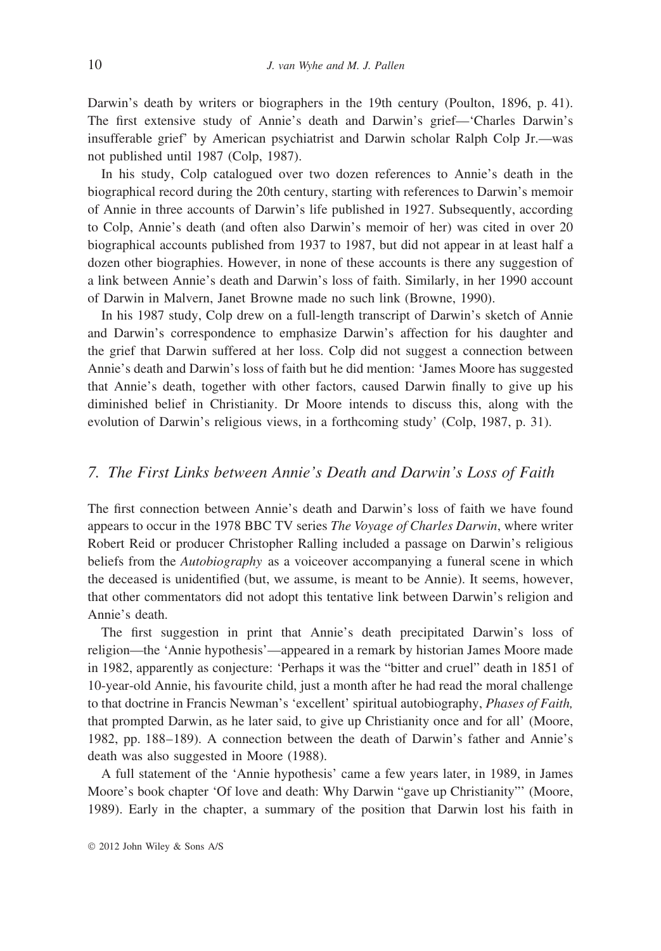Darwin's death by writers or biographers in the 19th century (Poulton, 1896, p. 41). The first extensive study of Annie's death and Darwin's grief—'Charles Darwin's insufferable grief' by American psychiatrist and Darwin scholar Ralph Colp Jr.—was not published until 1987 (Colp, 1987).

In his study, Colp catalogued over two dozen references to Annie's death in the biographical record during the 20th century, starting with references to Darwin's memoir of Annie in three accounts of Darwin's life published in 1927. Subsequently, according to Colp, Annie's death (and often also Darwin's memoir of her) was cited in over 20 biographical accounts published from 1937 to 1987, but did not appear in at least half a dozen other biographies. However, in none of these accounts is there any suggestion of a link between Annie's death and Darwin's loss of faith. Similarly, in her 1990 account of Darwin in Malvern, Janet Browne made no such link (Browne, 1990).

In his 1987 study, Colp drew on a full-length transcript of Darwin's sketch of Annie and Darwin's correspondence to emphasize Darwin's affection for his daughter and the grief that Darwin suffered at her loss. Colp did not suggest a connection between Annie's death and Darwin's loss of faith but he did mention: 'James Moore has suggested that Annie's death, together with other factors, caused Darwin finally to give up his diminished belief in Christianity. Dr Moore intends to discuss this, along with the evolution of Darwin's religious views, in a forthcoming study' (Colp, 1987, p. 31).

## *7. The First Links between Annie's Death and Darwin's Loss of Faith*

The first connection between Annie's death and Darwin's loss of faith we have found appears to occur in the 1978 BBC TV series *The Voyage of Charles Darwin*, where writer Robert Reid or producer Christopher Ralling included a passage on Darwin's religious beliefs from the *Autobiography* as a voiceover accompanying a funeral scene in which the deceased is unidentified (but, we assume, is meant to be Annie). It seems, however, that other commentators did not adopt this tentative link between Darwin's religion and Annie's death.

The first suggestion in print that Annie's death precipitated Darwin's loss of religion—the 'Annie hypothesis'—appeared in a remark by historian James Moore made in 1982, apparently as conjecture: 'Perhaps it was the "bitter and cruel" death in 1851 of 10-year-old Annie, his favourite child, just a month after he had read the moral challenge to that doctrine in Francis Newman's 'excellent' spiritual autobiography, *Phases of Faith,* that prompted Darwin, as he later said, to give up Christianity once and for all' (Moore, 1982, pp. 188–189). A connection between the death of Darwin's father and Annie's death was also suggested in Moore (1988).

A full statement of the 'Annie hypothesis' came a few years later, in 1989, in James Moore's book chapter 'Of love and death: Why Darwin "gave up Christianity"' (Moore, 1989). Early in the chapter, a summary of the position that Darwin lost his faith in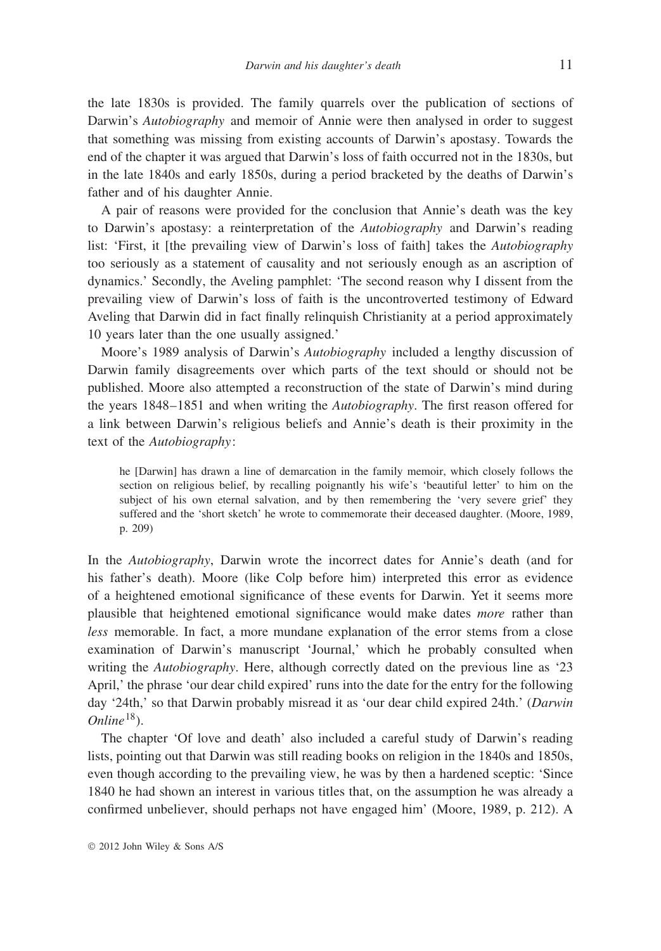the late 1830s is provided. The family quarrels over the publication of sections of Darwin's *Autobiography* and memoir of Annie were then analysed in order to suggest that something was missing from existing accounts of Darwin's apostasy. Towards the end of the chapter it was argued that Darwin's loss of faith occurred not in the 1830s, but in the late 1840s and early 1850s, during a period bracketed by the deaths of Darwin's father and of his daughter Annie.

A pair of reasons were provided for the conclusion that Annie's death was the key to Darwin's apostasy: a reinterpretation of the *Autobiography* and Darwin's reading list: 'First, it [the prevailing view of Darwin's loss of faith] takes the *Autobiography* too seriously as a statement of causality and not seriously enough as an ascription of dynamics.' Secondly, the Aveling pamphlet: 'The second reason why I dissent from the prevailing view of Darwin's loss of faith is the uncontroverted testimony of Edward Aveling that Darwin did in fact finally relinquish Christianity at a period approximately 10 years later than the one usually assigned.'

Moore's 1989 analysis of Darwin's *Autobiography* included a lengthy discussion of Darwin family disagreements over which parts of the text should or should not be published. Moore also attempted a reconstruction of the state of Darwin's mind during the years 1848–1851 and when writing the *Autobiography*. The first reason offered for a link between Darwin's religious beliefs and Annie's death is their proximity in the text of the *Autobiography*:

he [Darwin] has drawn a line of demarcation in the family memoir, which closely follows the section on religious belief, by recalling poignantly his wife's 'beautiful letter' to him on the subject of his own eternal salvation, and by then remembering the 'very severe grief' they suffered and the 'short sketch' he wrote to commemorate their deceased daughter. (Moore, 1989, p. 209)

In the *Autobiography*, Darwin wrote the incorrect dates for Annie's death (and for his father's death). Moore (like Colp before him) interpreted this error as evidence of a heightened emotional significance of these events for Darwin. Yet it seems more plausible that heightened emotional significance would make dates *more* rather than *less* memorable. In fact, a more mundane explanation of the error stems from a close examination of Darwin's manuscript 'Journal,' which he probably consulted when writing the *Autobiography*. Here, although correctly dated on the previous line as '23 April,' the phrase 'our dear child expired' runs into the date for the entry for the following day '24th,' so that Darwin probably misread it as 'our dear child expired 24th.' (*Darwin*  $Online<sup>18</sup>$ ).

The chapter 'Of love and death' also included a careful study of Darwin's reading lists, pointing out that Darwin was still reading books on religion in the 1840s and 1850s, even though according to the prevailing view, he was by then a hardened sceptic: 'Since 1840 he had shown an interest in various titles that, on the assumption he was already a confirmed unbeliever, should perhaps not have engaged him' (Moore, 1989, p. 212). A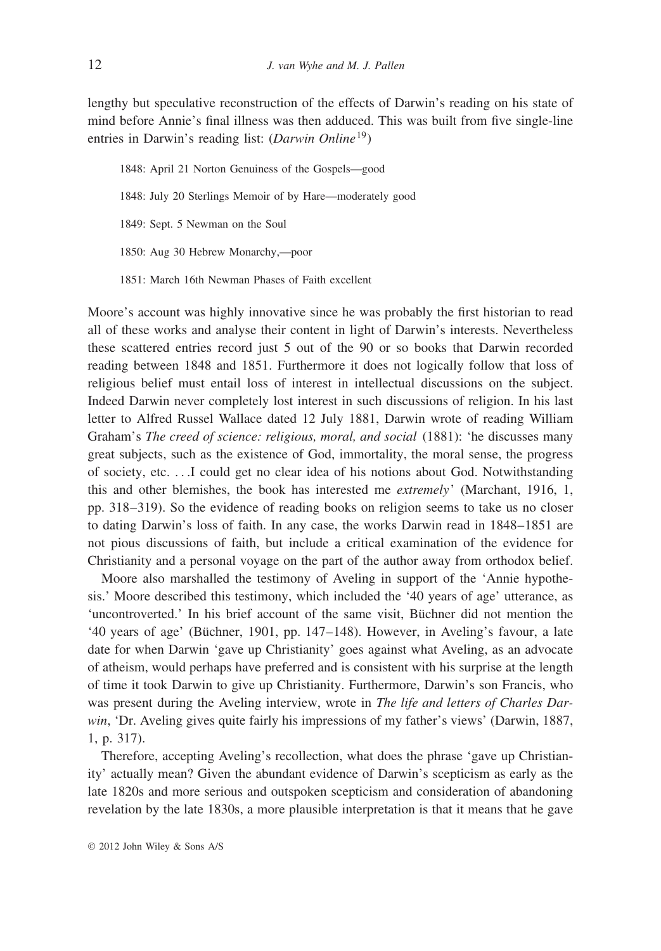lengthy but speculative reconstruction of the effects of Darwin's reading on his state of mind before Annie's final illness was then adduced. This was built from five single-line entries in Darwin's reading list: (*Darwin Online*19)

1848: April 21 Norton Genuiness of the Gospels—good 1848: July 20 Sterlings Memoir of by Hare—moderately good 1849: Sept. 5 Newman on the Soul 1850: Aug 30 Hebrew Monarchy,—poor 1851: March 16th Newman Phases of Faith excellent

Moore's account was highly innovative since he was probably the first historian to read all of these works and analyse their content in light of Darwin's interests. Nevertheless these scattered entries record just 5 out of the 90 or so books that Darwin recorded reading between 1848 and 1851. Furthermore it does not logically follow that loss of religious belief must entail loss of interest in intellectual discussions on the subject. Indeed Darwin never completely lost interest in such discussions of religion. In his last letter to Alfred Russel Wallace dated 12 July 1881, Darwin wrote of reading William Graham's *The creed of science: religious, moral, and social* (1881): 'he discusses many great subjects, such as the existence of God, immortality, the moral sense, the progress of society, etc. :::I could get no clear idea of his notions about God. Notwithstanding this and other blemishes, the book has interested me *extremely*' (Marchant, 1916, 1, pp. 318–319). So the evidence of reading books on religion seems to take us no closer to dating Darwin's loss of faith. In any case, the works Darwin read in 1848–1851 are not pious discussions of faith, but include a critical examination of the evidence for Christianity and a personal voyage on the part of the author away from orthodox belief.

Moore also marshalled the testimony of Aveling in support of the 'Annie hypothesis.' Moore described this testimony, which included the '40 years of age' utterance, as 'uncontroverted.' In his brief account of the same visit, Buchner did not mention the ¨ '40 years of age' (Büchner, 1901, pp.  $147-148$ ). However, in Aveling's favour, a late date for when Darwin 'gave up Christianity' goes against what Aveling, as an advocate of atheism, would perhaps have preferred and is consistent with his surprise at the length of time it took Darwin to give up Christianity. Furthermore, Darwin's son Francis, who was present during the Aveling interview, wrote in *The life and letters of Charles Darwin*, 'Dr. Aveling gives quite fairly his impressions of my father's views' (Darwin, 1887, 1, p. 317).

Therefore, accepting Aveling's recollection, what does the phrase 'gave up Christianity' actually mean? Given the abundant evidence of Darwin's scepticism as early as the late 1820s and more serious and outspoken scepticism and consideration of abandoning revelation by the late 1830s, a more plausible interpretation is that it means that he gave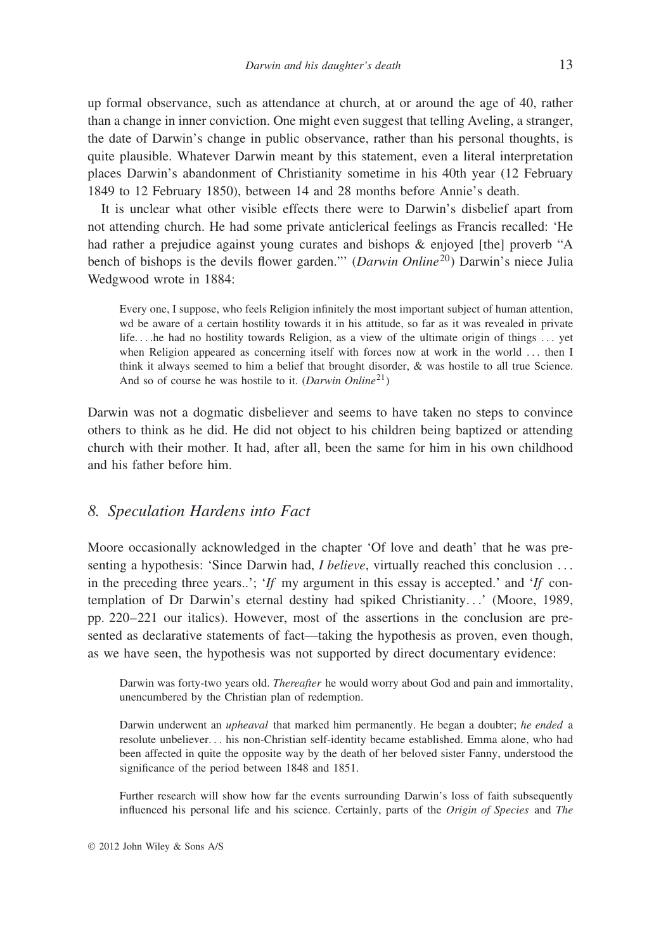up formal observance, such as attendance at church, at or around the age of 40, rather than a change in inner conviction. One might even suggest that telling Aveling, a stranger, the date of Darwin's change in public observance, rather than his personal thoughts, is quite plausible. Whatever Darwin meant by this statement, even a literal interpretation places Darwin's abandonment of Christianity sometime in his 40th year (12 February 1849 to 12 February 1850), between 14 and 28 months before Annie's death.

It is unclear what other visible effects there were to Darwin's disbelief apart from not attending church. He had some private anticlerical feelings as Francis recalled: 'He had rather a prejudice against young curates and bishops & enjoyed [the] proverb "A bench of bishops is the devils flower garden."' (*Darwin Online*20) Darwin's niece Julia Wedgwood wrote in 1884:

Every one, I suppose, who feels Religion infinitely the most important subject of human attention, wd be aware of a certain hostility towards it in his attitude, so far as it was revealed in private life....he had no hostility towards Religion, as a view of the ultimate origin of things ... yet when Religion appeared as concerning itself with forces now at work in the world ... then I think it always seemed to him a belief that brought disorder, & was hostile to all true Science. And so of course he was hostile to it. (*Darwin Online*<sup>21</sup>)

Darwin was not a dogmatic disbeliever and seems to have taken no steps to convince others to think as he did. He did not object to his children being baptized or attending church with their mother. It had, after all, been the same for him in his own childhood and his father before him.

## *8. Speculation Hardens into Fact*

Moore occasionally acknowledged in the chapter 'Of love and death' that he was presenting a hypothesis: 'Since Darwin had, *I believe*, virtually reached this conclusion ... in the preceding three years..'; '*If* my argument in this essay is accepted.' and '*If* contemplation of Dr Darwin's eternal destiny had spiked Christianity:::' (Moore, 1989, pp. 220–221 our italics). However, most of the assertions in the conclusion are presented as declarative statements of fact—taking the hypothesis as proven, even though, as we have seen, the hypothesis was not supported by direct documentary evidence:

Darwin was forty-two years old. *Thereafter* he would worry about God and pain and immortality, unencumbered by the Christian plan of redemption.

Darwin underwent an *upheaval* that marked him permanently. He began a doubter; *he ended* a resolute unbeliever::: his non-Christian self-identity became established. Emma alone, who had been affected in quite the opposite way by the death of her beloved sister Fanny, understood the significance of the period between 1848 and 1851.

Further research will show how far the events surrounding Darwin's loss of faith subsequently influenced his personal life and his science. Certainly, parts of the *Origin of Species* and *The*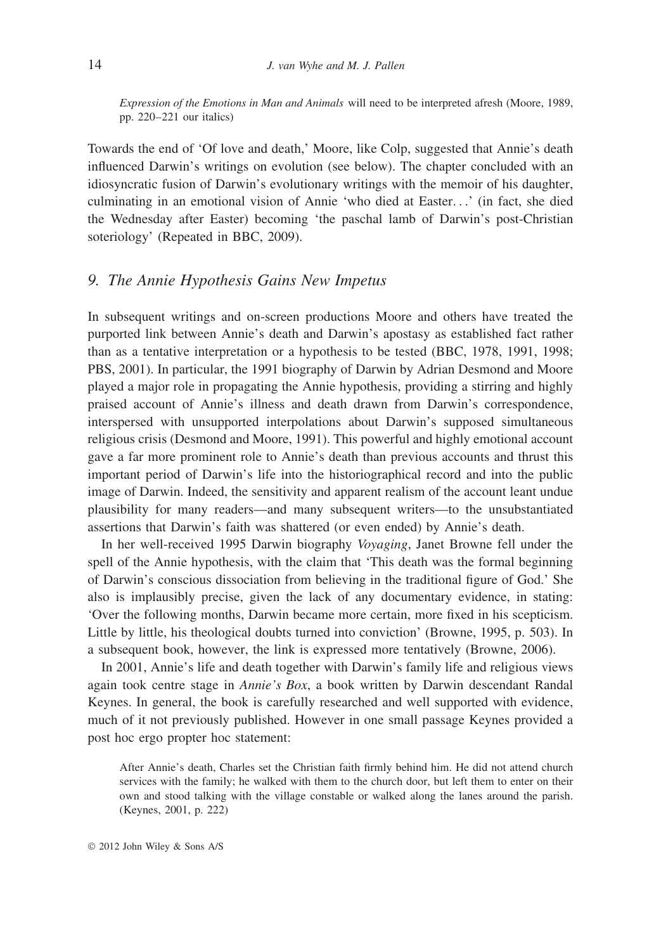*Expression of the Emotions in Man and Animals* will need to be interpreted afresh (Moore, 1989, pp. 220–221 our italics)

Towards the end of 'Of love and death,' Moore, like Colp, suggested that Annie's death influenced Darwin's writings on evolution (see below). The chapter concluded with an idiosyncratic fusion of Darwin's evolutionary writings with the memoir of his daughter, culminating in an emotional vision of Annie 'who died at Easter:::' (in fact, she died the Wednesday after Easter) becoming 'the paschal lamb of Darwin's post-Christian soteriology' (Repeated in BBC, 2009).

#### *9. The Annie Hypothesis Gains New Impetus*

In subsequent writings and on-screen productions Moore and others have treated the purported link between Annie's death and Darwin's apostasy as established fact rather than as a tentative interpretation or a hypothesis to be tested (BBC, 1978, 1991, 1998; PBS, 2001). In particular, the 1991 biography of Darwin by Adrian Desmond and Moore played a major role in propagating the Annie hypothesis, providing a stirring and highly praised account of Annie's illness and death drawn from Darwin's correspondence, interspersed with unsupported interpolations about Darwin's supposed simultaneous religious crisis (Desmond and Moore, 1991). This powerful and highly emotional account gave a far more prominent role to Annie's death than previous accounts and thrust this important period of Darwin's life into the historiographical record and into the public image of Darwin. Indeed, the sensitivity and apparent realism of the account leant undue plausibility for many readers—and many subsequent writers—to the unsubstantiated assertions that Darwin's faith was shattered (or even ended) by Annie's death.

In her well-received 1995 Darwin biography *Voyaging*, Janet Browne fell under the spell of the Annie hypothesis, with the claim that 'This death was the formal beginning of Darwin's conscious dissociation from believing in the traditional figure of God.' She also is implausibly precise, given the lack of any documentary evidence, in stating: 'Over the following months, Darwin became more certain, more fixed in his scepticism. Little by little, his theological doubts turned into conviction' (Browne, 1995, p. 503). In a subsequent book, however, the link is expressed more tentatively (Browne, 2006).

In 2001, Annie's life and death together with Darwin's family life and religious views again took centre stage in *Annie's Box*, a book written by Darwin descendant Randal Keynes. In general, the book is carefully researched and well supported with evidence, much of it not previously published. However in one small passage Keynes provided a post hoc ergo propter hoc statement:

After Annie's death, Charles set the Christian faith firmly behind him. He did not attend church services with the family; he walked with them to the church door, but left them to enter on their own and stood talking with the village constable or walked along the lanes around the parish. (Keynes, 2001, p. 222)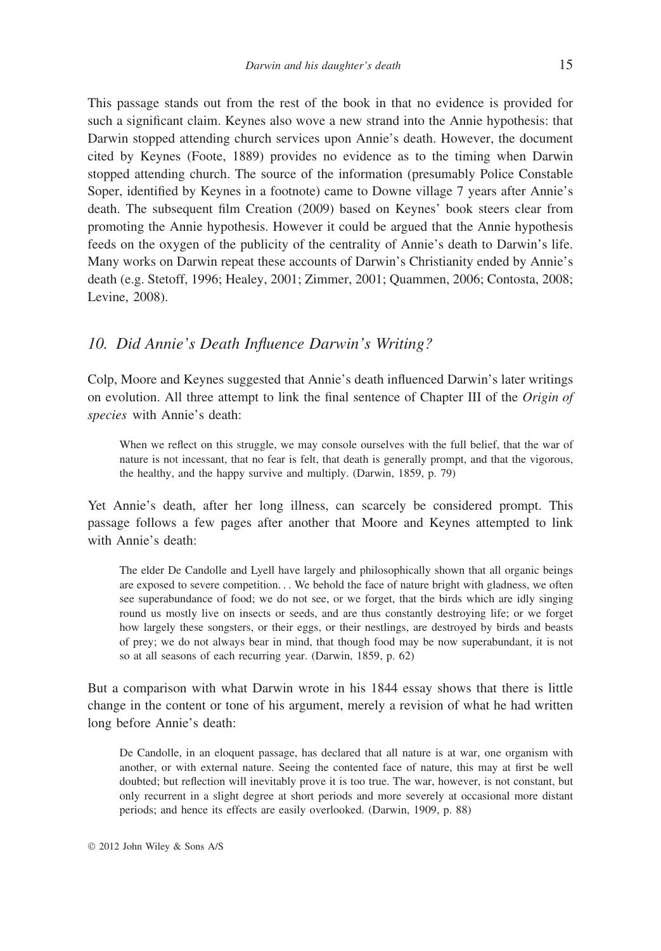This passage stands out from the rest of the book in that no evidence is provided for such a significant claim. Keynes also wove a new strand into the Annie hypothesis: that Darwin stopped attending church services upon Annie's death. However, the document cited by Keynes (Foote, 1889) provides no evidence as to the timing when Darwin stopped attending church. The source of the information (presumably Police Constable Soper, identified by Keynes in a footnote) came to Downe village 7 years after Annie's death. The subsequent film Creation (2009) based on Keynes' book steers clear from promoting the Annie hypothesis. However it could be argued that the Annie hypothesis feeds on the oxygen of the publicity of the centrality of Annie's death to Darwin's life. Many works on Darwin repeat these accounts of Darwin's Christianity ended by Annie's death (e.g. Stetoff, 1996; Healey, 2001; Zimmer, 2001; Quammen, 2006; Contosta, 2008; Levine, 2008).

### *10. Did Annie's Death Influence Darwin's Writing?*

Colp, Moore and Keynes suggested that Annie's death influenced Darwin's later writings on evolution. All three attempt to link the final sentence of Chapter III of the *Origin of species* with Annie's death:

When we reflect on this struggle, we may console ourselves with the full belief, that the war of nature is not incessant, that no fear is felt, that death is generally prompt, and that the vigorous, the healthy, and the happy survive and multiply. (Darwin, 1859, p. 79)

Yet Annie's death, after her long illness, can scarcely be considered prompt. This passage follows a few pages after another that Moore and Keynes attempted to link with Annie's death:

The elder De Candolle and Lyell have largely and philosophically shown that all organic beings are exposed to severe competition... We behold the face of nature bright with gladness, we often see superabundance of food; we do not see, or we forget, that the birds which are idly singing round us mostly live on insects or seeds, and are thus constantly destroying life; or we forget how largely these songsters, or their eggs, or their nestlings, are destroyed by birds and beasts of prey; we do not always bear in mind, that though food may be now superabundant, it is not so at all seasons of each recurring year. (Darwin, 1859, p. 62)

But a comparison with what Darwin wrote in his 1844 essay shows that there is little change in the content or tone of his argument, merely a revision of what he had written long before Annie's death:

De Candolle, in an eloquent passage, has declared that all nature is at war, one organism with another, or with external nature. Seeing the contented face of nature, this may at first be well doubted; but reflection will inevitably prove it is too true. The war, however, is not constant, but only recurrent in a slight degree at short periods and more severely at occasional more distant periods; and hence its effects are easily overlooked. (Darwin, 1909, p. 88)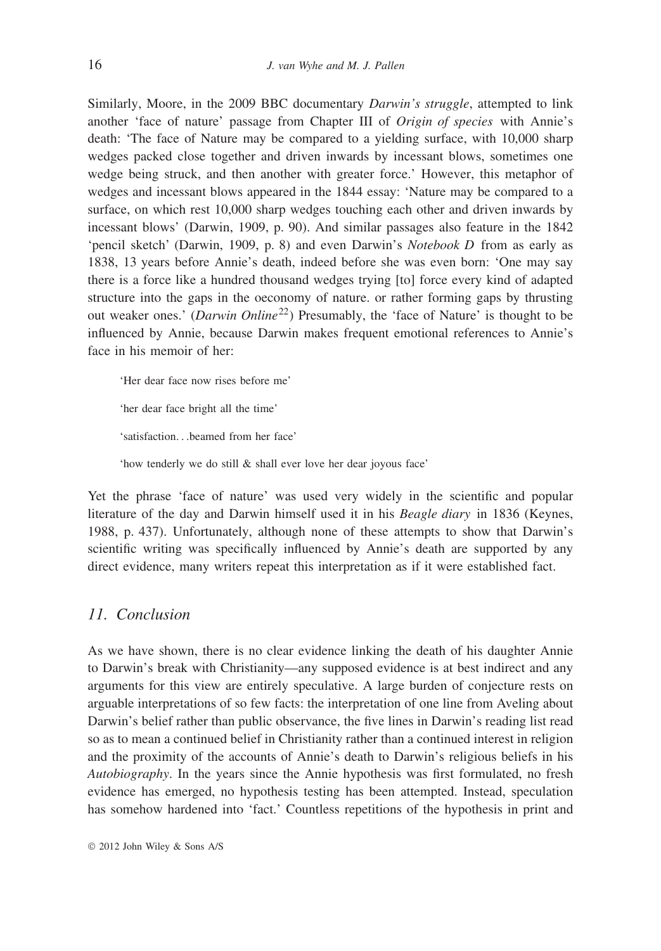Similarly, Moore, in the 2009 BBC documentary *Darwin's struggle*, attempted to link another 'face of nature' passage from Chapter III of *Origin of species* with Annie's death: 'The face of Nature may be compared to a yielding surface, with 10,000 sharp wedges packed close together and driven inwards by incessant blows, sometimes one wedge being struck, and then another with greater force.' However, this metaphor of wedges and incessant blows appeared in the 1844 essay: 'Nature may be compared to a surface, on which rest 10,000 sharp wedges touching each other and driven inwards by incessant blows' (Darwin, 1909, p. 90). And similar passages also feature in the 1842 'pencil sketch' (Darwin, 1909, p. 8) and even Darwin's *Notebook D* from as early as 1838, 13 years before Annie's death, indeed before she was even born: 'One may say there is a force like a hundred thousand wedges trying [to] force every kind of adapted structure into the gaps in the oeconomy of nature. or rather forming gaps by thrusting out weaker ones.' (*Darwin Online*22) Presumably, the 'face of Nature' is thought to be influenced by Annie, because Darwin makes frequent emotional references to Annie's face in his memoir of her:

'Her dear face now rises before me' 'her dear face bright all the time' 'satisfaction... beamed from her face' 'how tenderly we do still & shall ever love her dear joyous face'

Yet the phrase 'face of nature' was used very widely in the scientific and popular literature of the day and Darwin himself used it in his *Beagle diary* in 1836 (Keynes, 1988, p. 437). Unfortunately, although none of these attempts to show that Darwin's scientific writing was specifically influenced by Annie's death are supported by any direct evidence, many writers repeat this interpretation as if it were established fact.

## *11. Conclusion*

As we have shown, there is no clear evidence linking the death of his daughter Annie to Darwin's break with Christianity—any supposed evidence is at best indirect and any arguments for this view are entirely speculative. A large burden of conjecture rests on arguable interpretations of so few facts: the interpretation of one line from Aveling about Darwin's belief rather than public observance, the five lines in Darwin's reading list read so as to mean a continued belief in Christianity rather than a continued interest in religion and the proximity of the accounts of Annie's death to Darwin's religious beliefs in his *Autobiography*. In the years since the Annie hypothesis was first formulated, no fresh evidence has emerged, no hypothesis testing has been attempted. Instead, speculation has somehow hardened into 'fact.' Countless repetitions of the hypothesis in print and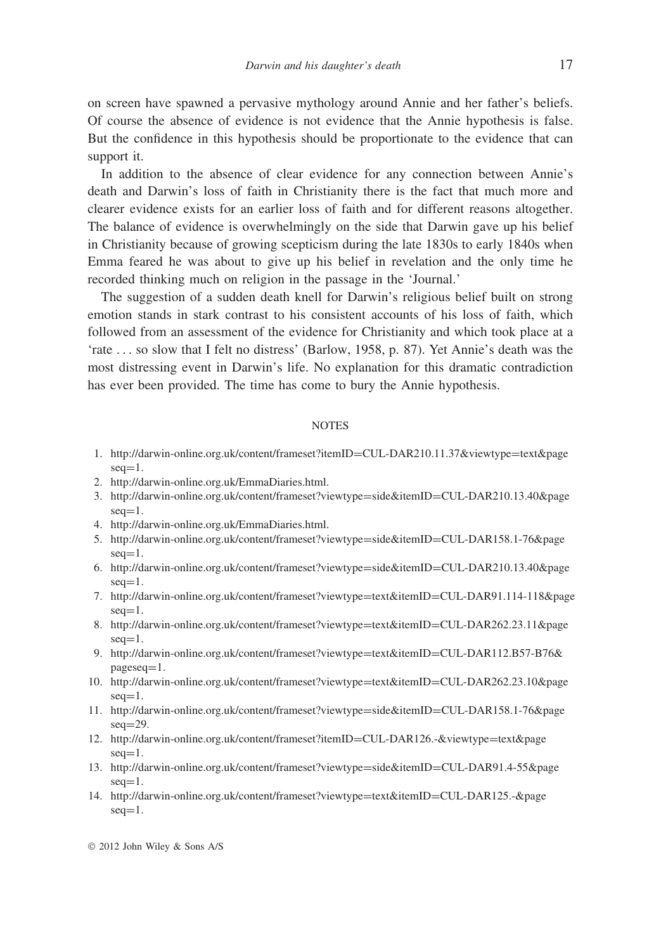on screen have spawned a pervasive mythology around Annie and her father's beliefs. Of course the absence of evidence is not evidence that the Annie hypothesis is false. But the confidence in this hypothesis should be proportionate to the evidence that can support it.

In addition to the absence of clear evidence for any connection between Annie's death and Darwin's loss of faith in Christianity there is the fact that much more and clearer evidence exists for an earlier loss of faith and for different reasons altogether. The balance of evidence is overwhelmingly on the side that Darwin gave up his belief in Christianity because of growing scepticism during the late 1830s to early 1840s when Emma feared he was about to give up his belief in revelation and the only time he recorded thinking much on religion in the passage in the 'Journal.'

The suggestion of a sudden death knell for Darwin's religious belief built on strong emotion stands in stark contrast to his consistent accounts of his loss of faith, which followed from an assessment of the evidence for Christianity and which took place at a 'rate ... so slow that I felt no distress' (Barlow, 1958, p. 87). Yet Annie's death was the most distressing event in Darwin's life. No explanation for this dramatic contradiction has ever been provided. The time has come to bury the Annie hypothesis.

#### **NOTES**

- 1. http://darwin-online.org.uk/content/frameset?itemID=CUL-DAR210.11.37&viewtype=text&page  $seq=1$ .
- 2. http://darwin-online.org.uk/EmmaDiaries.html.
- 3. http://darwin-online.org.uk/content/frameset?viewtype=side&itemID=CUL-DAR210.13.40&page  $seq=1$ .
- 4. http://darwin-online.org.uk/EmmaDiaries.html.
- 5. http://darwin-online.org.uk/content/frameset?viewtype=side&itemID=CUL-DAR158.1-76&page  $seq=1$ .
- 6. http://darwin-online.org.uk/content/frameset?viewtype=side&itemID=CUL-DAR210.13.40&page  $seq=1$ .
- 7. http://darwin-online.org.uk/content/frameset?viewtype=text&itemID=CUL-DAR91.114-118&page  $seq=1$ .
- 8. http://darwin-online.org.uk/content/frameset?viewtype=text&itemID=CUL-DAR262.23.11&page  $seq=1$ .
- 9. http://darwin-online.org.uk/content/frameset?viewtype=text&itemID=CUL-DAR112.B57-B76&  $pageseq=1.$
- 10. http://darwin-online.org.uk/content/frameset?viewtype=text&itemID=CUL-DAR262.23.10&page  $seq=1$ .
- 11. http://darwin-online.org.uk/content/frameset?viewtype=side&itemID=CUL-DAR158.1-76&page  $seq=29$ .
- 12. http://darwin-online.org.uk/content/frameset?itemID=CUL-DAR126.-&viewtype=text&page  $seq=1$ .
- 13. http://darwin-online.org.uk/content/frameset?viewtype=side&itemID=CUL-DAR91.4-55&page  $seq=1$ .
- 14. http://darwin-online.org.uk/content/frameset?viewtype=text&itemID=CUL-DAR125.-&page  $seq=1$ .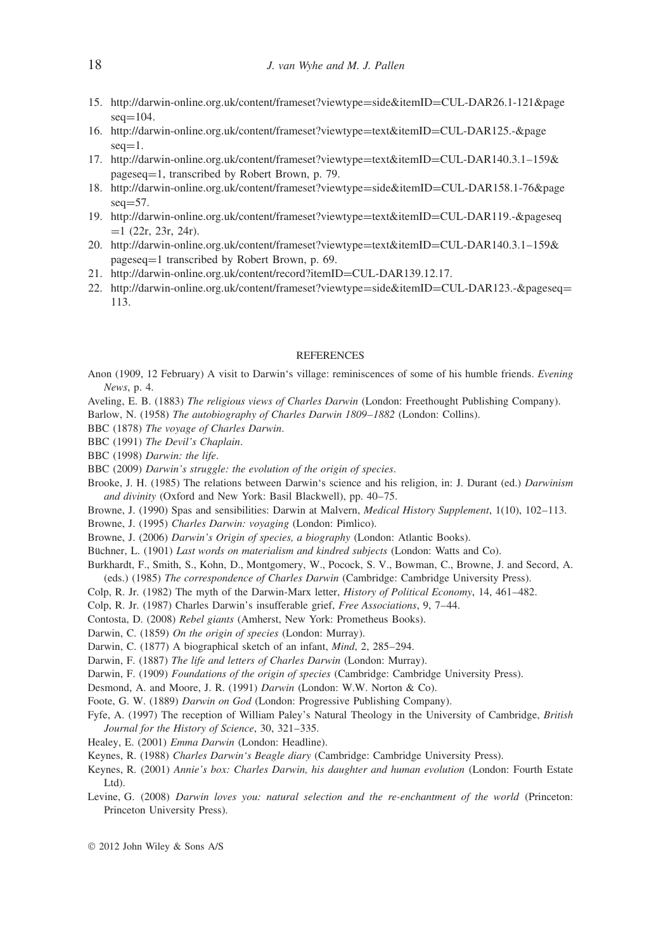- 15. http://darwin-online.org.uk/content/frameset?viewtype=side&itemID=CUL-DAR26.1-121&page  $seq=104$ .
- 16. http://darwin-online.org.uk/content/frameset?viewtype=text&itemID=CUL-DAR125.-&page  $seq=1$ .
- 17. http://darwin-online.org.uk/content/frameset?viewtype=text&itemID=CUL-DAR140.3.1–159& pageseq $=$ 1, transcribed by Robert Brown, p. 79.
- 18. http://darwin-online.org.uk/content/frameset?viewtype=side&itemID=CUL-DAR158.1-76&page  $seq=57$ .
- 19. http://darwin-online.org.uk/content/frameset?viewtype=text&itemID=CUL-DAR119.-&pageseq  $=1$  (22r, 23r, 24r).
- 20. http://darwin-online.org.uk/content/frameset?viewtype=text&itemID=CUL-DAR140.3.1–159& pageseq $=1$  transcribed by Robert Brown, p. 69.
- 21. http://darwin-online.org.uk/content/record?itemID=CUL-DAR139.12.17.
- 22. http://darwin-online.org.uk/content/frameset?viewtype=side&itemID=CUL-DAR123.-&pageseq= 113.

#### **REFERENCES**

- Anon (1909, 12 February) A visit to Darwin's village: reminiscences of some of his humble friends. *Evening News*, p. 4.
- Aveling, E. B. (1883) *The religious views of Charles Darwin* (London: Freethought Publishing Company).

Barlow, N. (1958) *The autobiography of Charles Darwin 1809–1882* (London: Collins).

- BBC (1878) *The voyage of Charles Darwin*.
- BBC (1991) *The Devil's Chaplain*.
- BBC (1998) *Darwin: the life*.
- BBC (2009) *Darwin's struggle: the evolution of the origin of species*.
- Brooke, J. H. (1985) The relations between Darwin's science and his religion, in: J. Durant (ed.) *Darwinism and divinity* (Oxford and New York: Basil Blackwell), pp. 40–75.
- Browne, J. (1990) Spas and sensibilities: Darwin at Malvern, *Medical History Supplement*, 1(10), 102–113.
- Browne, J. (1995) *Charles Darwin: voyaging* (London: Pimlico).
- Browne, J. (2006) *Darwin's Origin of species, a biography* (London: Atlantic Books).

Büchner, L. (1901) Last words on materialism and kindred subjects (London: Watts and Co).

- Burkhardt, F., Smith, S., Kohn, D., Montgomery, W., Pocock, S. V., Bowman, C., Browne, J. and Secord, A. (eds.) (1985) *The correspondence of Charles Darwin* (Cambridge: Cambridge University Press).
- Colp, R. Jr. (1982) The myth of the Darwin-Marx letter, *History of Political Economy*, 14, 461–482.
- Colp, R. Jr. (1987) Charles Darwin's insufferable grief, *Free Associations*, 9, 7–44.
- Contosta, D. (2008) *Rebel giants* (Amherst, New York: Prometheus Books).
- Darwin, C. (1859) *On the origin of species* (London: Murray).
- Darwin, C. (1877) A biographical sketch of an infant, *Mind*, 2, 285–294.
- Darwin, F. (1887) *The life and letters of Charles Darwin* (London: Murray).
- Darwin, F. (1909) *Foundations of the origin of species* (Cambridge: Cambridge University Press).
- Desmond, A. and Moore, J. R. (1991) *Darwin* (London: W.W. Norton & Co).
- Foote, G. W. (1889) *Darwin on God* (London: Progressive Publishing Company).
- Fyfe, A. (1997) The reception of William Paley's Natural Theology in the University of Cambridge, *British Journal for the History of Science*, 30, 321–335.
- Healey, E. (2001) *Emma Darwin* (London: Headline).
- Keynes, R. (1988) *Charles Darwin's Beagle diary* (Cambridge: Cambridge University Press).
- Keynes, R. (2001) *Annie's box: Charles Darwin, his daughter and human evolution* (London: Fourth Estate Ltd).
- Levine, G. (2008) *Darwin loves you: natural selection and the re-enchantment of the world* (Princeton: Princeton University Press).